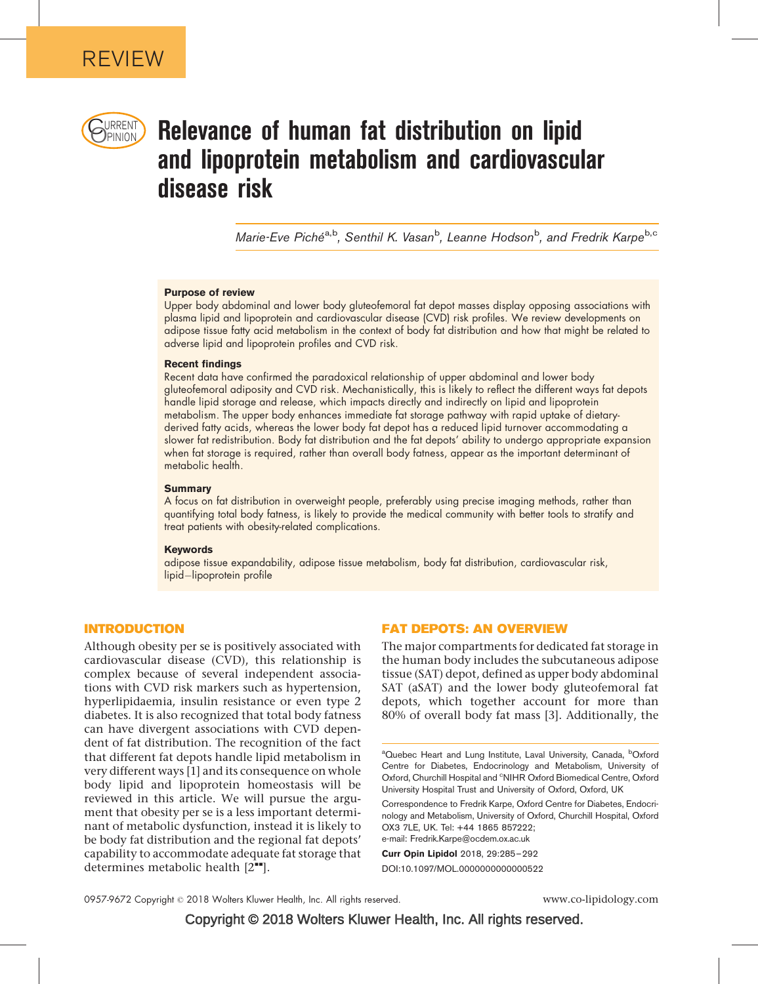

# URRENT **Relevance of human fat distribution on lipid** and lipoprotein metabolism and cardiovascular disease risk

Marie-Eve Piché<sup>a,b</sup>, Senthil K. Vasan<sup>b</sup>, Leanne Hodson<sup>b</sup>, and Fredrik Karpe<sup>b,c</sup>

## Purpose of review

Upper body abdominal and lower body gluteofemoral fat depot masses display opposing associations with plasma lipid and lipoprotein and cardiovascular disease (CVD) risk profiles. We review developments on adipose tissue fatty acid metabolism in the context of body fat distribution and how that might be related to adverse lipid and lipoprotein profiles and CVD risk.

#### Recent findings

Recent data have confirmed the paradoxical relationship of upper abdominal and lower body gluteofemoral adiposity and CVD risk. Mechanistically, this is likely to reflect the different ways fat depots handle lipid storage and release, which impacts directly and indirectly on lipid and lipoprotein metabolism. The upper body enhances immediate fat storage pathway with rapid uptake of dietaryderived fatty acids, whereas the lower body fat depot has a reduced lipid turnover accommodating a slower fat redistribution. Body fat distribution and the fat depots' ability to undergo appropriate expansion when fat storage is required, rather than overall body fatness, appear as the important determinant of metabolic health.

#### **Summary**

A focus on fat distribution in overweight people, preferably using precise imaging methods, rather than quantifying total body fatness, is likely to provide the medical community with better tools to stratify and treat patients with obesity-related complications.

#### Keywords

adipose tissue expandability, adipose tissue metabolism, body fat distribution, cardiovascular risk, lipid-lipoprotein profile

## INTRODUCTION

Although obesity per se is positively associated with cardiovascular disease (CVD), this relationship is complex because of several independent associations with CVD risk markers such as hypertension, hyperlipidaemia, insulin resistance or even type 2 diabetes. It is also recognized that total body fatness can have divergent associations with CVD dependent of fat distribution. The recognition of the fact that different fat depots handle lipid metabolism in very different ways [\[1\]](#page-5-0) and its consequence on whole body lipid and lipoprotein homeostasis will be reviewed in this article. We will pursue the argument that obesity per se is a less important determinant of metabolic dysfunction, instead it is likely to be body fat distribution and the regional fat depots' capability to accommodate adequate fat storage that determines metabolic health  $[2^{\bullet\bullet}].$  $[2^{\bullet\bullet}].$  $[2^{\bullet\bullet}].$  $[2^{\bullet\bullet}].$ 

## FAT DEPOTS: AN OVERVIEW

The major compartments for dedicated fat storage in the human body includes the subcutaneous adipose tissue (SAT) depot, defined as upper body abdominal SAT (aSAT) and the lower body gluteofemoral fat depots, which together account for more than 80% of overall body fat mass [\[3\].](#page-5-0) Additionally, the

<sup>a</sup>Quebec Heart and Lung Institute, Laval University, Canada, <sup>b</sup>Oxford Centre for Diabetes, Endocrinology and Metabolism, University of Oxford, Churchill Hospital and <sup>c</sup>NIHR Oxford Biomedical Centre, Oxford University Hospital Trust and University of Oxford, Oxford, UK

Correspondence to Fredrik Karpe, Oxford Centre for Diabetes, Endocrinology and Metabolism, University of Oxford, Churchill Hospital, Oxford OX3 7LE, UK. Tel: +44 1865 857222;

e-mail: [Fredrik.Karpe@ocdem.ox.ac.uk](mailto:Fredrik.Karpe@ocdem.ox.ac.uk)

Curr Opin Lipidol 2018, 29:285–292 DOI:10.1097/MOL.0000000000000522

Copyright © 2018 Wolters Kluwer Health, Inc. All rights reserved.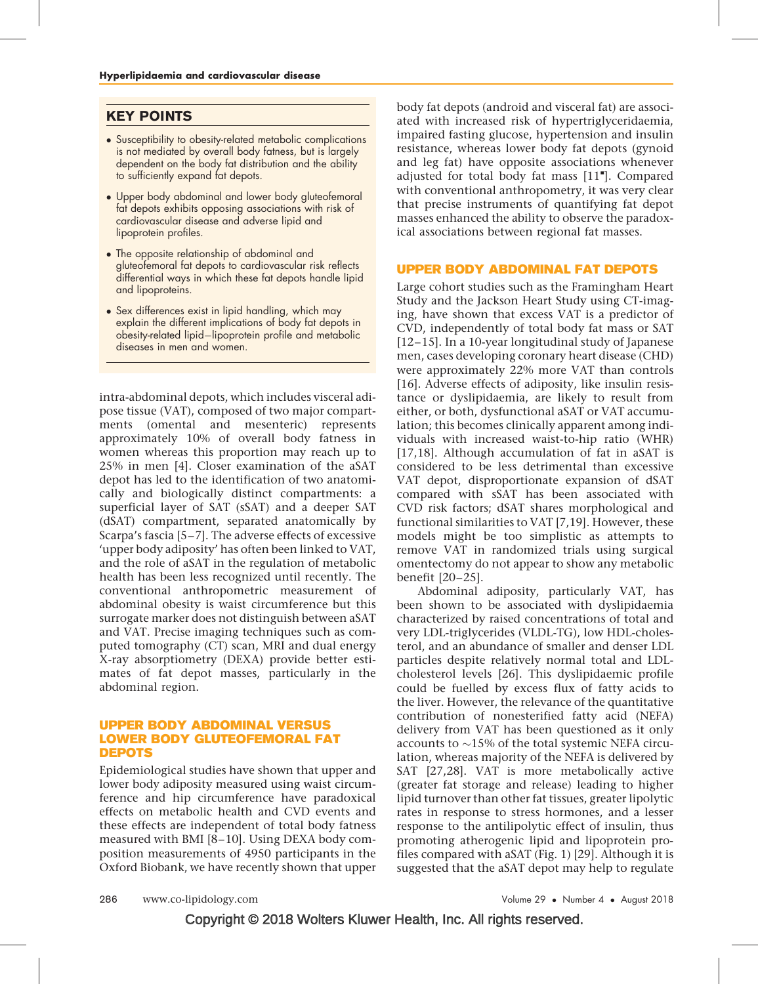## KEY POINTS

- Susceptibility to obesity-related metabolic complications is not mediated by overall body fatness, but is largely dependent on the body fat distribution and the ability to sufficiently expand fat depots.
- Upper body abdominal and lower body gluteofemoral fat depots exhibits opposing associations with risk of cardiovascular disease and adverse lipid and lipoprotein profiles.
- The opposite relationship of abdominal and gluteofemoral fat depots to cardiovascular risk reflects differential ways in which these fat depots handle lipid and lipoproteins.
- Sex differences exist in lipid handling, which may explain the different implications of body fat depots in obesity-related lipid-lipoprotein profile and metabolic diseases in men and women.

intra-abdominal depots, which includes visceral adipose tissue (VAT), composed of two major compartments (omental and mesenteric) represents approximately 10% of overall body fatness in women whereas this proportion may reach up to 25% in men [\[4\].](#page-5-0) Closer examination of the aSAT depot has led to the identification of two anatomically and biologically distinct compartments: a superficial layer of SAT (sSAT) and a deeper SAT (dSAT) compartment, separated anatomically by Scarpa's fascia [\[5–7\]](#page-5-0). The adverse effects of excessive 'upper body adiposity' has often been linked to VAT, and the role of aSAT in the regulation of metabolic health has been less recognized until recently. The conventional anthropometric measurement of abdominal obesity is waist circumference but this surrogate marker does not distinguish between aSAT and VAT. Precise imaging techniques such as computed tomography (CT) scan, MRI and dual energy X-ray absorptiometry (DEXA) provide better estimates of fat depot masses, particularly in the abdominal region.

## UPPER BODY ABDOMINAL VERSUS LOWER BODY GLUTEOFEMORAL FAT DEPOTS

Epidemiological studies have shown that upper and lower body adiposity measured using waist circumference and hip circumference have paradoxical effects on metabolic health and CVD events and these effects are independent of total body fatness measured with BMI [\[8–10\]](#page-5-0). Using DEXA body composition measurements of 4950 participants in the Oxford Biobank, we have recently shown that upper

body fat depots (android and visceral fat) are associated with increased risk of hypertriglyceridaemia, impaired fasting glucose, hypertension and insulin resistance, whereas lower body fat depots (gynoid and leg fat) have opposite associations whenever adjusted for total body fat mass [\[11](#page-5-0)"[\]](#page-5-0). Compared with conventional anthropometry, it was very clear that precise instruments of quantifying fat depot masses enhanced the ability to observe the paradoxical associations between regional fat masses.

## UPPER BODY ABDOMINAL FAT DEPOTS

Large cohort studies such as the Framingham Heart Study and the Jackson Heart Study using CT-imaging, have shown that excess VAT is a predictor of CVD, independently of total body fat mass or SAT [\[12–15\].](#page-5-0) In a 10-year longitudinal study of Japanese men, cases developing coronary heart disease (CHD) were approximately 22% more VAT than controls [\[16\].](#page-5-0) Adverse effects of adiposity, like insulin resistance or dyslipidaemia, are likely to result from either, or both, dysfunctional aSAT or VAT accumulation; this becomes clinically apparent among individuals with increased waist-to-hip ratio (WHR) [\[17,18\]](#page-5-0). Although accumulation of fat in aSAT is considered to be less detrimental than excessive VAT depot, disproportionate expansion of dSAT compared with sSAT has been associated with CVD risk factors; dSAT shares morphological and functional similarities to VAT [\[7,19\].](#page-5-0) However, these models might be too simplistic as attempts to remove VAT in randomized trials using surgical omentectomy do not appear to show any metabolic benefit [\[20–25\].](#page-6-0)

Abdominal adiposity, particularly VAT, has been shown to be associated with dyslipidaemia characterized by raised concentrations of total and very LDL-triglycerides (VLDL-TG), low HDL-cholesterol, and an abundance of smaller and denser LDL particles despite relatively normal total and LDLcholesterol levels [\[26\]](#page-6-0). This dyslipidaemic profile could be fuelled by excess flux of fatty acids to the liver. However, the relevance of the quantitative contribution of nonesterified fatty acid (NEFA) delivery from VAT has been questioned as it only accounts to  $\sim$ 15% of the total systemic NEFA circulation, whereas majority of the NEFA is delivered by SAT [\[27,28\].](#page-6-0) VAT is more metabolically active (greater fat storage and release) leading to higher lipid turnover than other fat tissues, greater lipolytic rates in response to stress hormones, and a lesser response to the antilipolytic effect of insulin, thus promoting atherogenic lipid and lipoprotein profiles compared with aSAT (Fig. 1) [\[29\].](#page-6-0) Although it is suggested that the aSAT depot may help to regulate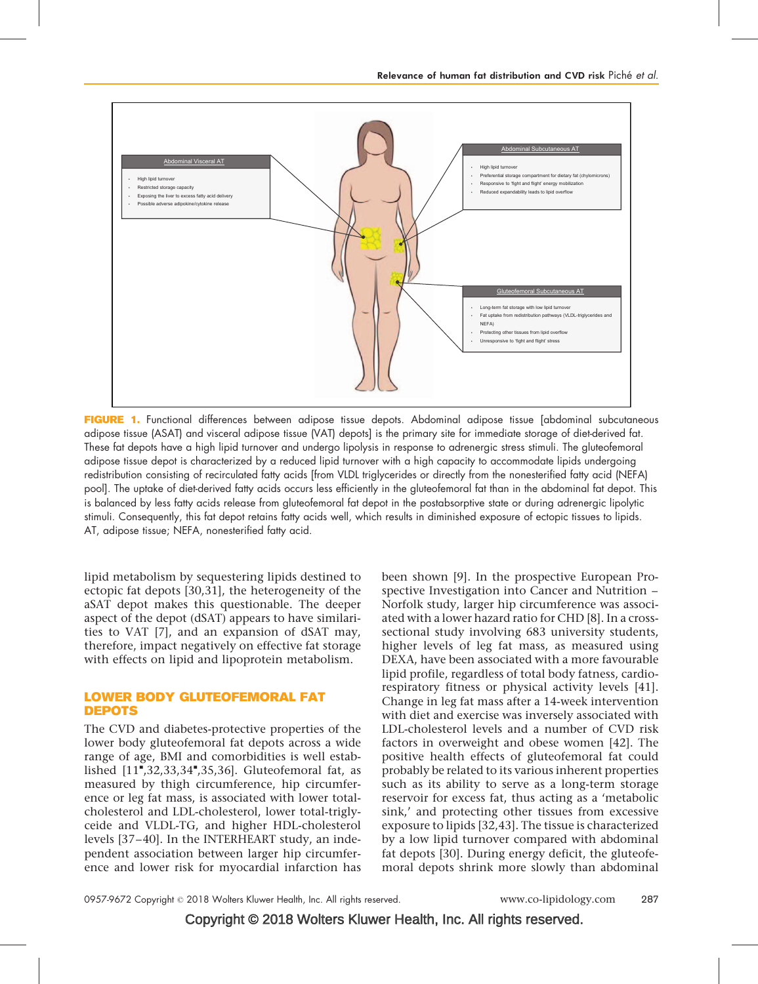

FIGURE 1. Functional differences between adipose tissue depots. Abdominal adipose tissue [abdominal subcutaneous adipose tissue (ASAT) and visceral adipose tissue (VAT) depots] is the primary site for immediate storage of diet-derived fat. These fat depots have a high lipid turnover and undergo lipolysis in response to adrenergic stress stimuli. The gluteofemoral adipose tissue depot is characterized by a reduced lipid turnover with a high capacity to accommodate lipids undergoing redistribution consisting of recirculated fatty acids [from VLDL triglycerides or directly from the nonesterified fatty acid (NEFA) pool]. The uptake of diet-derived fatty acids occurs less efficiently in the gluteofemoral fat than in the abdominal fat depot. This is balanced by less fatty acids release from gluteofemoral fat depot in the postabsorptive state or during adrenergic lipolytic stimuli. Consequently, this fat depot retains fatty acids well, which results in diminished exposure of ectopic tissues to lipids. AT, adipose tissue; NEFA, nonesterified fatty acid.

lipid metabolism by sequestering lipids destined to ectopic fat depots [\[30,31\],](#page-6-0) the heterogeneity of the aSAT depot makes this questionable. The deeper aspect of the depot (dSAT) appears to have similarities to VAT [\[7\],](#page-5-0) and an expansion of dSAT may, therefore, impact negatively on effective fat storage with effects on lipid and lipoprotein metabolism.

## LOWER BODY GLUTEOFEMORAL FAT DEPOTS

The CVD and diabetes-protective properties of the lower body gluteofemoral fat depots across a wide range of age, BMI and comorbidities is well estab-lished [\[11](#page-5-0)"[,32,33,34](#page-5-0)"[,35,36\].](#page-5-0) Gluteofemoral fat, as measured by thigh circumference, hip circumference or leg fat mass, is associated with lower totalcholesterol and LDL-cholesterol, lower total-triglyceide and VLDL-TG, and higher HDL-cholesterol levels [\[37–40\].](#page-6-0) In the INTERHEART study, an independent association between larger hip circumference and lower risk for myocardial infarction has been shown [\[9\].](#page-5-0) In the prospective European Prospective Investigation into Cancer and Nutrition – Norfolk study, larger hip circumference was associated with a lower hazard ratio for CHD [\[8\]](#page-5-0). In a crosssectional study involving 683 university students, higher levels of leg fat mass, as measured using DEXA, have been associated with a more favourable lipid profile, regardless of total body fatness, cardiorespiratory fitness or physical activity levels [\[41\]](#page-6-0). Change in leg fat mass after a 14-week intervention with diet and exercise was inversely associated with LDL-cholesterol levels and a number of CVD risk factors in overweight and obese women [\[42\]](#page-6-0). The positive health effects of gluteofemoral fat could probably be related to its various inherent properties such as its ability to serve as a long-term storage reservoir for excess fat, thus acting as a 'metabolic sink,' and protecting other tissues from excessive exposure to lipids [\[32,43\]](#page-6-0). The tissue is characterized by a low lipid turnover compared with abdominal fat depots [\[30\]](#page-6-0). During energy deficit, the gluteofemoral depots shrink more slowly than abdominal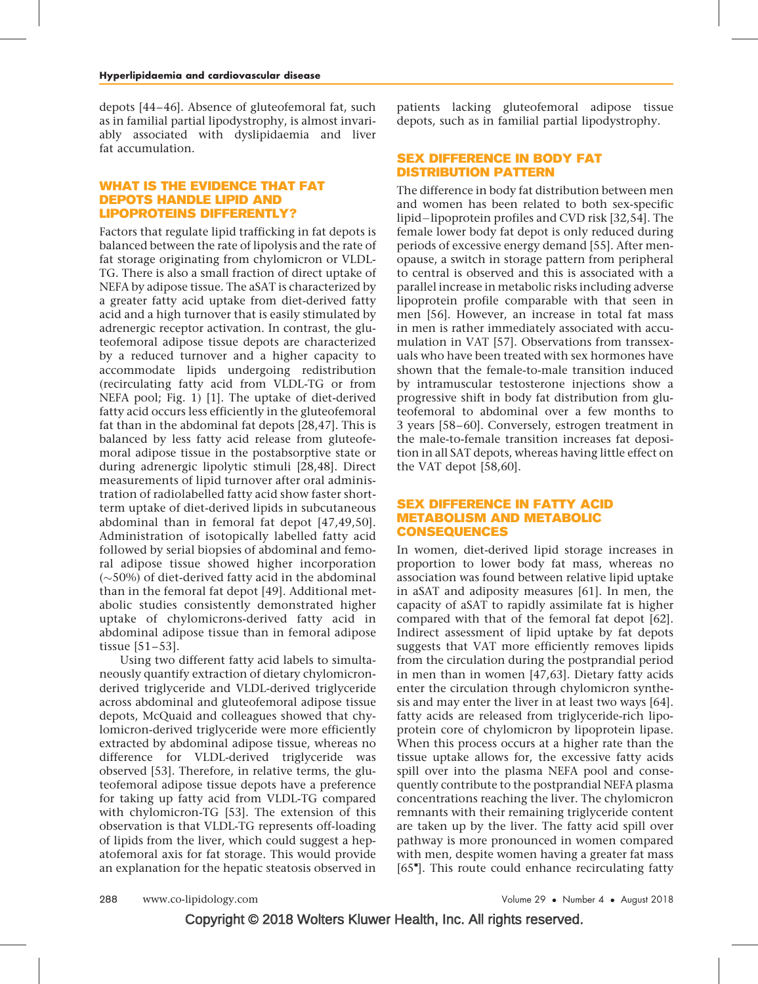depots [\[44–46\].](#page-6-0) Absence of gluteofemoral fat, such as in familial partial lipodystrophy, is almost invariably associated with dyslipidaemia and liver fat accumulation.

## WHAT IS THE EVIDENCE THAT FAT DEPOTS HANDLE LIPID AND LIPOPROTEINS DIFFERENTLY?

Factors that regulate lipid trafficking in fat depots is balanced between the rate of lipolysis and the rate of fat storage originating from chylomicron or VLDL-TG. There is also a small fraction of direct uptake of NEFA by adipose tissue. The aSAT is characterized by a greater fatty acid uptake from diet-derived fatty acid and a high turnover that is easily stimulated by adrenergic receptor activation. In contrast, the gluteofemoral adipose tissue depots are characterized by a reduced turnover and a higher capacity to accommodate lipids undergoing redistribution (recirculating fatty acid from VLDL-TG or from NEFA pool; Fig. 1) [\[1\].](#page-5-0) The uptake of diet-derived fatty acid occurs less efficiently in the gluteofemoral fat than in the abdominal fat depots [\[28,47\].](#page-6-0) This is balanced by less fatty acid release from gluteofemoral adipose tissue in the postabsorptive state or during adrenergic lipolytic stimuli [\[28,48\].](#page-6-0) Direct measurements of lipid turnover after oral administration of radiolabelled fatty acid show faster shortterm uptake of diet-derived lipids in subcutaneous abdominal than in femoral fat depot [\[47,49,50\].](#page-6-0) Administration of isotopically labelled fatty acid followed by serial biopsies of abdominal and femoral adipose tissue showed higher incorporation  $(\sim 50\%)$  of diet-derived fatty acid in the abdominal than in the femoral fat depot [\[49\]](#page-6-0). Additional metabolic studies consistently demonstrated higher uptake of chylomicrons-derived fatty acid in abdominal adipose tissue than in femoral adipose tissue [\[51–53\]](#page-6-0).

Using two different fatty acid labels to simultaneously quantify extraction of dietary chylomicronderived triglyceride and VLDL-derived triglyceride across abdominal and gluteofemoral adipose tissue depots, McQuaid and colleagues showed that chylomicron-derived triglyceride were more efficiently extracted by abdominal adipose tissue, whereas no difference for VLDL-derived triglyceride was observed [\[53\]](#page-6-0). Therefore, in relative terms, the gluteofemoral adipose tissue depots have a preference for taking up fatty acid from VLDL-TG compared with chylomicron-TG [\[53\]](#page-6-0). The extension of this observation is that VLDL-TG represents off-loading of lipids from the liver, which could suggest a hepatofemoral axis for fat storage. This would provide an explanation for the hepatic steatosis observed in patients lacking gluteofemoral adipose tissue depots, such as in familial partial lipodystrophy.

## SEX DIFFERENCE IN BODY FAT DISTRIBUTION PATTERN

The difference in body fat distribution between men and women has been related to both sex-specific lipid-lipoprotein profiles and CVD risk [\[32,54\].](#page-6-0) The female lower body fat depot is only reduced during periods of excessive energy demand [\[55\]](#page-6-0). After menopause, a switch in storage pattern from peripheral to central is observed and this is associated with a parallel increase in metabolic risks including adverse lipoprotein profile comparable with that seen in men [\[56\].](#page-6-0) However, an increase in total fat mass in men is rather immediately associated with accumulation in VAT [\[57\].](#page-6-0) Observations from transsexuals who have been treated with sex hormones have shown that the female-to-male transition induced by intramuscular testosterone injections show a progressive shift in body fat distribution from gluteofemoral to abdominal over a few months to 3 years [\[58–60\]](#page-6-0). Conversely, estrogen treatment in the male-to-female transition increases fat deposition in all SAT depots, whereas having little effect on the VAT depot [\[58,60\]](#page-6-0).

## SEX DIFFERENCE IN FATTY ACID METABOLISM AND METABOLIC CONSEQUENCES

In women, diet-derived lipid storage increases in proportion to lower body fat mass, whereas no association was found between relative lipid uptake in aSAT and adiposity measures [\[61\]](#page-6-0). In men, the capacity of aSAT to rapidly assimilate fat is higher compared with that of the femoral fat depot [\[62\]](#page-6-0). Indirect assessment of lipid uptake by fat depots suggests that VAT more efficiently removes lipids from the circulation during the postprandial period in men than in women [\[47,63\].](#page-6-0) Dietary fatty acids enter the circulation through chylomicron synthesis and may enter the liver in at least two ways [\[64\]](#page-6-0). fatty acids are released from triglyceride-rich lipoprotein core of chylomicron by lipoprotein lipase. When this process occurs at a higher rate than the tissue uptake allows for, the excessive fatty acids spill over into the plasma NEFA pool and consequently contribute to the postprandial NEFA plasma concentrations reaching the liver. The chylomicron remnants with their remaining triglyceride content are taken up by the liver. The fatty acid spill over pathway is more pronounced in women compared with men, despite women having a greater fat mass [\[65](#page-6-0)"[\].](#page-6-0) This route could enhance recirculating fatty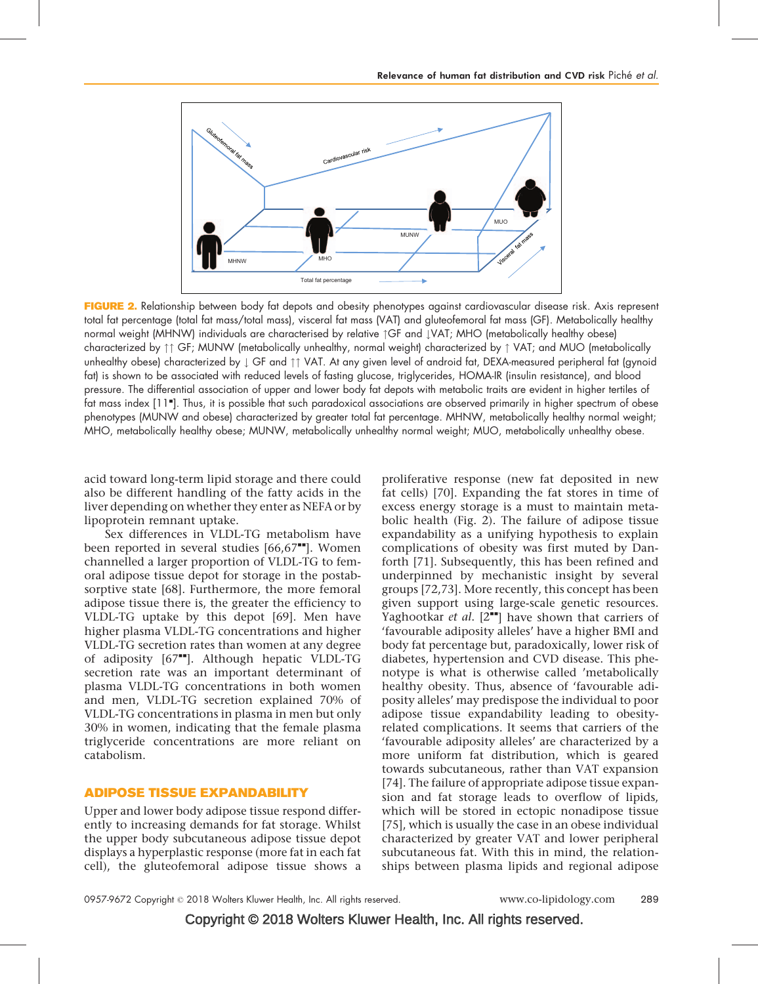

FIGURE 2. Relationship between body fat depots and obesity phenotypes against cardiovascular disease risk. Axis represent total fat percentage (total fat mass/total mass), visceral fat mass (VAT) and gluteofemoral fat mass (GF). Metabolically healthy normal weight (MHNW) individuals are characterised by relative  $\int CF$  and  $\downarrow$ VAT; MHO (metabolically healthy obese) characterized by  $\uparrow \uparrow$  GF; MUNW (metabolically unhealthy, normal weight) characterized by  $\uparrow$  VAT; and MUO (metabolically unhealthy obese) characterized by  $\downarrow$  GF and  $\uparrow\uparrow$  VAT. At any given level of android fat, DEXA-measured peripheral fat (gynoid fat) is shown to be associated with reduced levels of fasting glucose, triglycerides, HOMA-IR (insulin resistance), and blood pressure. The differential association of upper and lower body fat depots with metabolic traits are evident in higher tertiles of fat mass index [\[11](#page-5-0)"[\]](#page-5-0). Thus, it is possible that such paradoxical associations are observed primarily in higher spectrum of obese phenotypes (MUNW and obese) characterized by greater total fat percentage. MHNW, metabolically healthy normal weight; MHO, metabolically healthy obese; MUNW, metabolically unhealthy normal weight; MUO, metabolically unhealthy obese.

acid toward long-term lipid storage and there could also be different handling of the fatty acids in the liver depending on whether they enter as NEFA or by lipoprotein remnant uptake.

Sex differences in VLDL-TG metabolism have been reported in several studies  $[66.67$ <sup> $H$ </sup>. Women channelled a larger proportion of VLDL-TG to femoral adipose tissue depot for storage in the postabsorptive state [\[68\]](#page-6-0). Furthermore, the more femoral adipose tissue there is, the greater the efficiency to VLDL-TG uptake by this depot [\[69\]](#page-6-0). Men have higher plasma VLDL-TG concentrations and higher VLDL-TG secretion rates than women at any degree of adiposity  $[67^{\bullet\bullet}]$  $[67^{\bullet\bullet}]$ . Although hepatic VLDL-TG secretion rate was an important determinant of plasma VLDL-TG concentrations in both women and men, VLDL-TG secretion explained 70% of VLDL-TG concentrations in plasma in men but only 30% in women, indicating that the female plasma triglyceride concentrations are more reliant on catabolism.

## ADIPOSE TISSUE EXPANDABILITY

Upper and lower body adipose tissue respond differently to increasing demands for fat storage. Whilst the upper body subcutaneous adipose tissue depot displays a hyperplastic response (more fat in each fat cell), the gluteofemoral adipose tissue shows a

proliferative response (new fat deposited in new fat cells) [\[70\]](#page-6-0). Expanding the fat stores in time of excess energy storage is a must to maintain metabolic health (Fig. 2). The failure of adipose tissue expandability as a unifying hypothesis to explain complications of obesity was first muted by Danforth [\[71\].](#page-6-0) Subsequently, this has been refined and underpinned by mechanistic insight by several groups [\[72,73\].](#page-6-0) More recently, this concept has been given support using large-scale genetic resources. Yaghootkar et al.  $[2^{\bullet\bullet}]$  $[2^{\bullet\bullet}]$  $[2^{\bullet\bullet}]$  have shown that carriers of 'favourable adiposity alleles' have a higher BMI and body fat percentage but, paradoxically, lower risk of diabetes, hypertension and CVD disease. This phenotype is what is otherwise called 'metabolically healthy obesity. Thus, absence of 'favourable adiposity alleles' may predispose the individual to poor adipose tissue expandability leading to obesityrelated complications. It seems that carriers of the 'favourable adiposity alleles' are characterized by a more uniform fat distribution, which is geared towards subcutaneous, rather than VAT expansion [\[74\].](#page-7-0) The failure of appropriate adipose tissue expansion and fat storage leads to overflow of lipids, which will be stored in ectopic nonadipose tissue [\[75\],](#page-7-0) which is usually the case in an obese individual characterized by greater VAT and lower peripheral subcutaneous fat. With this in mind, the relationships between plasma lipids and regional adipose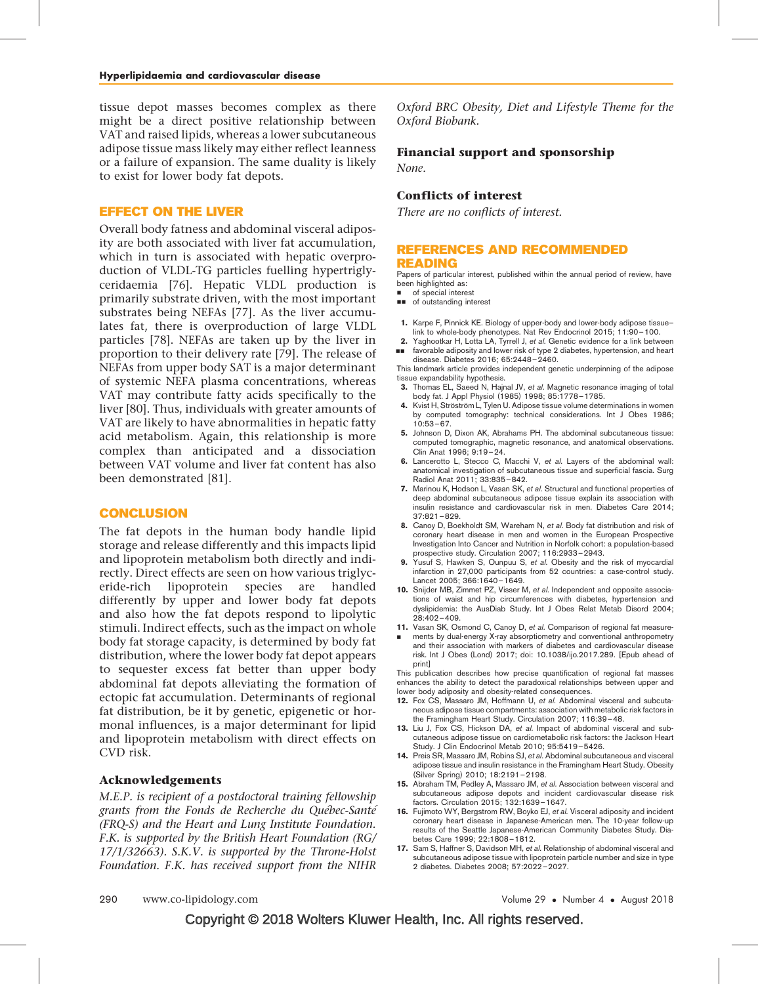<span id="page-5-0"></span>tissue depot masses becomes complex as there might be a direct positive relationship between VAT and raised lipids, whereas a lower subcutaneous adipose tissue mass likely may either reflect leanness or a failure of expansion. The same duality is likely to exist for lower body fat depots.

## EFFECT ON THE LIVER

Overall body fatness and abdominal visceral adiposity are both associated with liver fat accumulation, which in turn is associated with hepatic overproduction of VLDL-TG particles fuelling hypertriglyceridaemia [\[76\].](#page-7-0) Hepatic VLDL production is primarily substrate driven, with the most important substrates being NEFAs [\[77\].](#page-7-0) As the liver accumulates fat, there is overproduction of large VLDL particles [\[78\]](#page-7-0). NEFAs are taken up by the liver in proportion to their delivery rate [\[79\]](#page-7-0). The release of NEFAs from upper body SAT is a major determinant of systemic NEFA plasma concentrations, whereas VAT may contribute fatty acids specifically to the liver [\[80\].](#page-7-0) Thus, individuals with greater amounts of VAT are likely to have abnormalities in hepatic fatty acid metabolism. Again, this relationship is more complex than anticipated and a dissociation between VAT volume and liver fat content has also been demonstrated [\[81\]](#page-7-0).

## **CONCLUSION**

The fat depots in the human body handle lipid storage and release differently and this impacts lipid and lipoprotein metabolism both directly and indirectly. Direct effects are seen on how various triglyceride-rich lipoprotein species are handled differently by upper and lower body fat depots and also how the fat depots respond to lipolytic stimuli. Indirect effects, such as the impact on whole body fat storage capacity, is determined by body fat distribution, where the lower body fat depot appears to sequester excess fat better than upper body abdominal fat depots alleviating the formation of ectopic fat accumulation. Determinants of regional fat distribution, be it by genetic, epigenetic or hormonal influences, is a major determinant for lipid and lipoprotein metabolism with direct effects on CVD risk.

#### Acknowledgements

M.E.P. is recipient of a postdoctoral training fellowship grants from the Fonds de Recherche du Québec-Santé (FRQ-S) and the Heart and Lung Institute Foundation. F.K. is supported by the British Heart Foundation (RG/ 17/1/32663). S.K.V. is supported by the Throne-Holst Foundation. F.K. has received support from the NIHR

Oxford BRC Obesity, Diet and Lifestyle Theme for the Oxford Biobank.

#### Financial support and sponsorship

None.

## Conflicts of interest

There are no conflicts of interest.

#### REFERENCES AND RECOMMENDED READING

Papers of particular interest, published within the annual period of review, have been highlighted as:

of special interest

- $\blacksquare$  of outstanding interest
- 1. Karpe F, Pinnick KE. Biology of upper-body and lower-body adipose tissuelink to whole-body phenotypes. Nat Rev Endocrinol 2015; 11:90–100.
- 2. && Yaghootkar H, Lotta LA, Tyrrell J, et al. Genetic evidence for a link between favorable adiposity and lower risk of type 2 diabetes, hypertension, and heart

disease. Diabetes 2016; 65:2448–2460. This landmark article provides independent genetic underpinning of the adipose tissue expandability hypothesis.

- 3. Thomas EL, Saeed N, Hajnal JV, et al. Magnetic resonance imaging of total body fat. J Appl Physiol (1985) 1998; 85:1778–1785.
- 4. Kvist H, Ströström L, Tylen U. Adipose tissue volume determinations in women by computed tomography: technical considerations. Int J Obes 1986; 10:53–67.
- 5. Johnson D, Dixon AK, Abrahams PH. The abdominal subcutaneous tissue: computed tomographic, magnetic resonance, and anatomical observations. Clin Anat 1996; 9:19–24.
- 6. Lancerotto L, Stecco C, Macchi V, et al. Layers of the abdominal wall: anatomical investigation of subcutaneous tissue and superficial fascia. Surg Radiol Anat 2011; 33:835–842.
- 7. Marinou K, Hodson L, Vasan SK, et al. Structural and functional properties of deep abdominal subcutaneous adipose tissue explain its association with insulin resistance and cardiovascular risk in men. Diabetes Care 2014; 37:821–829.
- 8. Canoy D, Boekholdt SM, Wareham N, et al. Body fat distribution and risk of coronary heart disease in men and women in the European Prospective Investigation Into Cancer and Nutrition in Norfolk cohort: a population-based prospective study. Circulation 2007; 116:2933–2943.
- 9. Yusuf S, Hawken S, Ounpuu S, et al. Obesity and the risk of myocardial infarction in 27,000 participants from 52 countries: a case-control study. Lancet 2005; 366:1640–1649.
- 10. Snijder MB, Zimmet PZ, Visser M, et al. Independent and opposite associations of waist and hip circumferences with diabetes, hypertension and dyslipidemia: the AusDiab Study. Int J Obes Relat Metab Disord 2004; 28:402–409.
- 11. Vasan SK, Osmond C, Canoy D, et al. Comparison of regional fat measure-
- & ments by dual-energy X-ray absorptiometry and conventional anthropometry and their association with markers of diabetes and cardiovascular disease risk. Int J Obes (Lond) 2017; doi: 10.1038/ijo.2017.289. [Epub ahead of print]

This publication describes how precise quantification of regional fat masses enhances the ability to detect the paradoxical relationships between upper and lower body adiposity and obesity-related consequences.

- 12. Fox CS, Massaro JM, Hoffmann U, et al. Abdominal visceral and subcutaneous adipose tissue compartments: association with metabolic risk factors in the Framingham Heart Study. Circulation 2007; 116:39–48.
- 13. Liu J, Fox CS, Hickson DA, et al. Impact of abdominal visceral and subcutaneous adipose tissue on cardiometabolic risk factors: the Jackson Heart Study. J Clin Endocrinol Metab 2010; 95:5419–5426.
- 14. Preis SR, Massaro JM, Robins SJ, et al. Abdominal subcutaneous and visceral adipose tissue and insulin resistance in the Framingham Heart Study. Obesity (Silver Spring) 2010; 18:2191–2198.
- 15. Abraham TM, Pedley A, Massaro JM, et al. Association between visceral and subcutaneous adipose depots and incident cardiovascular disease risk factors. Circulation 2015; 132:1639–1647.
- 16. Fujimoto WY, Bergstrom RW, Boyko EJ, et al. Visceral adiposity and incident coronary heart disease in Japanese-American men. The 10-year follow-up results of the Seattle Japanese-American Community Diabetes Study. Diabetes Care 1999; 22:1808–1812.
- 17. Sam S, Haffner S, Davidson MH, et al. Relationship of abdominal visceral and subcutaneous adipose tissue with lipoprotein particle number and size in type 2 diabetes. Diabetes 2008; 57:2022–2027.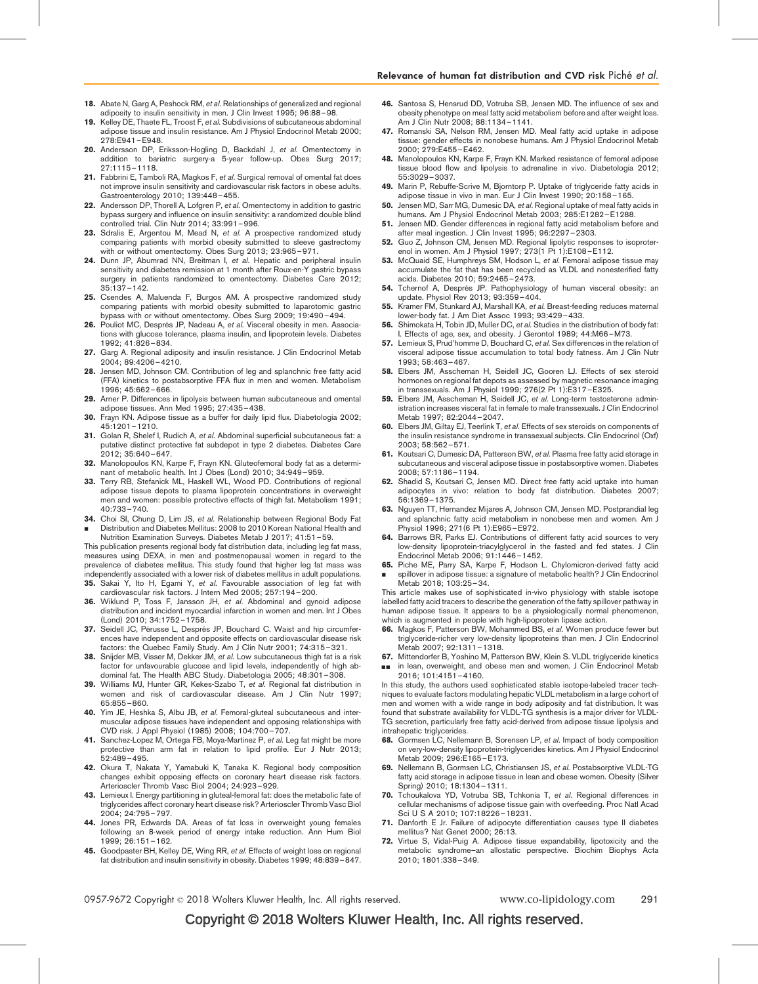- <span id="page-6-0"></span>18. Abate N, Garg A, Peshock RM, et al. Relationships of generalized and regional
- adiposity to insulin sensitivity in men. J Clin Invest 1995; 96:88–98. 19. Kelley DE, Thaete FL, Troost F, et al. Subdivisions of subcutaneous abdominal adipose tissue and insulin resistance. Am J Physiol Endocrinol Metab 2000; 278:E941–E948.
- 20. Andersson DP, Eriksson-Hogling D, Backdahl J, et al. Omentectomy in addition to bariatric surgery-a 5-year follow-up. Obes Surg 2017; 27:1115–1118.
- 21. Fabbrini E, Tamboli RA, Magkos F, et al. Surgical removal of omental fat does not improve insulin sensitivity and cardiovascular risk factors in obese adults. Gastroenterology 2010; 139:448–455.
- 22. Andersson DP, Thorell A, Lofgren P, et al. Omentectomy in addition to gastric bypass surgery and influence on insulin sensitivity: a randomized double blind controlled trial. Clin Nutr 2014; 33:991–996.
- 23. Sdralis E, Argentou M, Mead N, et al. A prospective randomized study comparing patients with morbid obesity submitted to sleeve gastrectomy with or without omentectomy. Obes Surg 2013; 23:965–971.
- 24. Dunn JP, Abumrad NN, Breitman I, et al. Hepatic and peripheral insulin sensitivity and diabetes remission at 1 month after Roux-en-Y gastric bypass surgery in patients randomized to omentectomy. Diabetes Care 2012; 35:137–142.
- 25. Csendes A, Maluenda F, Burgos AM. A prospective randomized study comparing patients with morbid obesity submitted to laparotomic gastric bypass with or without omentectomy. Obes Surg 2009; 19:490–494.
- 26. Pouliot MC, Després JP, Nadeau A, et al. Visceral obesity in men. Associations with glucose tolerance, plasma insulin, and lipoprotein levels. Diabetes 1992; 41:826–834.
- 27. Garg A. Regional adiposity and insulin resistance. J Clin Endocrinol Metab 2004; 89:4206–4210.
- Jensen MD, Johnson CM. Contribution of leg and splanchnic free fatty acid (FFA) kinetics to postabsorptive FFA flux in men and women. Metabolism 1996; 45:662–666.
- 29. Arner P. Differences in lipolysis between human subcutaneous and omental adipose tissues. Ann Med 1995; 27:435–438.
- 30. Frayn KN. Adipose tissue as a buffer for daily lipid flux. Diabetologia 2002; 45:1201–1210.
- 31. Golan R, Shelef I, Rudich A, et al. Abdominal superficial subcutaneous fat: a putative distinct protective fat subdepot in type 2 diabetes. Diabetes Care 2012; 35:640–647.
- 32. Manolopoulos KN, Karpe F, Frayn KN. Gluteofemoral body fat as a determinant of metabolic health. Int J Obes (Lond) 2010; 34:949–959.
- 33. Terry RB, Stefanick ML, Haskell WL, Wood PD. Contributions of regional adipose tissue depots to plasma lipoprotein concentrations in overweight men and women: possible protective effects of thigh fat. Metabolism 1991; 40:733–740.
- 34. & Choi SI, Chung D, Lim JS, et al. Relationship between Regional Body Fat Distribution and Diabetes Mellitus: 2008 to 2010 Korean National Health and Nutrition Examination Surveys. Diabetes Metab J 2017; 41:51–59.
- This publication presents regional body fat distribution data, including leg fat mass, measures using DEXA, in men and postmenopausal women in regard to the prevalence of diabetes mellitus. This study found that higher leg fat mass was independently associated with a lower risk of diabetes mellitus in adult populations.
- 35. Sakai Y, Ito H, Egami Y, et al. Favourable association of leg fat with cardiovascular risk factors. J Intern Med 2005; 257:194–200.
- 36. Wiklund P, Toss F, Jansson JH, et al. Abdominal and gynoid adipose distribution and incident myocardial infarction in women and men. Int J Obes (Lond) 2010; 34:1752–1758.
- 37. Seidell JC, Pérusse L, Després JP, Bouchard C. Waist and hip circumferences have independent and opposite effects on cardiovascular disease risk factors: the Quebec Family Study. Am J Clin Nutr 2001; 74:315–321.
- 38. Snijder MB, Visser M, Dekker JM, et al. Low subcutaneous thigh fat is a risk factor for unfavourable glucose and lipid levels, independently of high abdominal fat. The Health ABC Study. Diabetologia 2005; 48:301–308.
- 39. Williams MJ, Hunter GR, Kekes-Szabo T, et al. Regional fat distribution in women and risk of cardiovascular disease. Am J Clin Nutr 1997; 65:855–860.
- 40. Yim JE, Heshka S, Albu JB, et al. Femoral-gluteal subcutaneous and intermuscular adipose tissues have independent and opposing relationships with CVD risk. J Appl Physiol (1985) 2008; 104:700–707.
- 41. Sanchez-Lopez M, Ortega FB, Moya-Martinez P, et al. Leg fat might be more protective than arm fat in relation to lipid profile. Eur J Nutr 2013; 52:489–495.
- 42. Okura T, Nakata Y, Yamabuki K, Tanaka K. Regional body composition changes exhibit opposing effects on coronary heart disease risk factors. Arterioscler Thromb Vasc Biol 2004; 24:923–929.
- 43. Lemieux I. Energy partitioning in gluteal-femoral fat: does the metabolic fate of triglycerides affect coronary heart disease risk? Arterioscler Thromb Vasc Biol 2004; 24:795–797.
- 44. Jones PR, Edwards DA. Areas of fat loss in overweight young females following an 8-week period of energy intake reduction. Ann Hum Biol 1999; 26:151–162.
- 45. Goodpaster BH, Kelley DE, Wing RR, et al. Effects of weight loss on regional fat distribution and insulin sensitivity in obesity. Diabetes 1999; 48:839–847.
- 46. Santosa S, Hensrud DD, Votruba SB, Jensen MD. The influence of sex and obesity phenotype on meal fatty acid metabolism before and after weight loss. Am J Clin Nutr 2008; 88:1134–1141.
- 47. Romanski SA, Nelson RM, Jensen MD. Meal fatty acid uptake in adipose tissue: gender effects in nonobese humans. Am J Physiol Endocrinol Metab 2000; 279:E455–E462.
- 48. Manolopoulos KN, Karpe F, Frayn KN. Marked resistance of femoral adipose tissue blood flow and lipolysis to adrenaline in vivo. Diabetologia 2012; 55:3029–3037.
- 49. Marin P, Rebuffe-Scrive M, Bjorntorp P. Uptake of triglyceride fatty acids in adipose tissue in vivo in man. Eur J Clin Invest 1990; 20:158–165.
- 50. Jensen MD, Sarr MG, Dumesic DA, et al. Regional uptake of meal fatty acids in humans. Am J Physiol Endocrinol Metab 2003; 285:E1282–E1288.
- 51. Jensen MD. Gender differences in regional fatty acid metabolism before and after meal ingestion. J Clin Invest 1995; 96:2297–2303.
- 52. Guo Z, Johnson CM, Jensen MD. Regional lipolytic responses to isoproterenol in women. Am J Physiol 1997; 273(1 Pt 1):E108–E112.
- 53. McQuaid SE, Humphreys SM, Hodson L, et al. Femoral adipose tissue may accumulate the fat that has been recycled as VLDL and nonesterified fatty acids. Diabetes 2010; 59:2465–2473.
- 54. Tchernof A, Després JP. Pathophysiology of human visceral obesity: an update. Physiol Rev 2013; 93:359–404.
- 55. Kramer FM, Stunkard AJ, Marshall KA, et al. Breast-feeding reduces maternal lower-body fat. J Am Diet Assoc 1993; 93:429–433.
- 56. Shimokata H, Tobin JD, Muller DC, et al. Studies in the distribution of body fat: I. Effects of age, sex, and obesity. J Gerontol 1989; 44:M66–M73.
- 57. Lemieux S, Prud'homme D, Bouchard C, et al. Sex differences in the relation of visceral adipose tissue accumulation to total body fatness. Am J Clin Nutr 1993; 58:463–467.
- 58. Elbers JM, Asscheman H, Seidell JC, Gooren LJ. Effects of sex steroid hormones on regional fat depots as assessed by magnetic resonance imaging in transsexuals. Am J Physiol 1999; 276(2 Pt 1):E317–E325.
- 59. Elbers JM, Asscheman H, Seidell JC, et al. Long-term testosterone administration increases visceral fat in female to male transsexuals. J Clin Endocrinol Metab 1997; 82:2044–2047.
- 60. Elbers JM, Giltay EJ, Teerlink T, et al. Effects of sex steroids on components of the insulin resistance syndrome in transsexual subjects. Clin Endocrinol (Oxf) 2003; 58:562–571.
- 61. Koutsari C, Dumesic DA, Patterson BW, et al. Plasma free fatty acid storage in subcutaneous and visceral adipose tissue in postabsorptive women. Diabetes 2008; 57:1186–1194.
- 62. Shadid S, Koutsari C, Jensen MD. Direct free fatty acid uptake into human adipocytes in vivo: relation to body fat distribution. Diabetes 2007; 56:1369–1375.
- 63. Nguyen TT, Hernandez Mijares A, Johnson CM, Jensen MD. Postprandial leg and splanchnic fatty acid metabolism in nonobese men and women. Am J Physiol 1996; 271(6 Pt 1):E965–E972.
- 64. Barrows BR, Parks EJ. Contributions of different fatty acid sources to very low-density lipoprotein-triacylglycerol in the fasted and fed states. J Clin Endocrinol Metab 2006; 91:1446–1452.
- 65. Piche ME, Parry SA, Karpe F, Hodson L. Chylomicron-derived fatty acid & spillover in adipose tissue: a signature of metabolic health? J Clin Endocrinol Metab 2018; 103:25–34.

This article makes use of sophisticated in-vivo physiology with stable isotope labelled fatty acid tracers to describe the generation of the fatty spillover pathway in human adipose tissue. It appears to be a physiologically normal phenomenon, which is augmented in people with high-lipoprotein lipase action.

- 66. Magkos F, Patterson BW, Mohammed BS, et al. Women produce fewer but triglyceride-richer very low-density lipoproteins than men. J Clin Endocrinol Metab 2007; 92:1311–1318.
- 67. Mittendorfer B, Yoshino M, Patterson BW, Klein S. VLDL triglyceride kinetics && in lean, overweight, and obese men and women. J Clin Endocrinol Metab 2016; 101:4151–4160.

In this study, the authors used sophisticated stable isotope-labeled tracer techniques to evaluate factors modulating hepatic VLDL metabolism in a large cohort of men and women with a wide range in body adiposity and fat distribution. It was found that substrate availability for VLDL-TG synthesis is a major driver for VLDL-TG secretion, particularly free fatty acid-derived from adipose tissue lipolysis and intrahepatic triglycerides.

- 68. Gormsen LC, Nellemann B, Sorensen LP, et al. Impact of body composition on very-low-density lipoprotein-triglycerides kinetics. Am J Physiol Endocrinol Metab 2009; 296:E165–E173.
- 69. Nellemann B, Gormsen LC, Christiansen JS, et al. Postabsorptive VLDL-TG fatty acid storage in adipose tissue in lean and obese women. Obesity (Silver Spring) 2010; 18:1304–1311.
- 70. Tchoukalova YD, Votruba SB, Tchkonia T, et al. Regional differences in cellular mechanisms of adipose tissue gain with overfeeding. Proc Natl Acad Sci U S A 2010; 107:18226–18231.
- 71. Danforth E Jr. Failure of adipocyte differentiation causes type II diabetes mellitus? Nat Genet 2000; 26:13.
- 72. Virtue S, Vidal-Puig A. Adipose tissue expandability, lipotoxicity and the metabolic syndrome–an allostatic perspective. Biochim Biophys Acta 2010; 1801:338–349.

0957-9672 Copyright © 2018 Wolters Kluwer Health, Inc. All rights reserved. www.co-lipidology.com 291